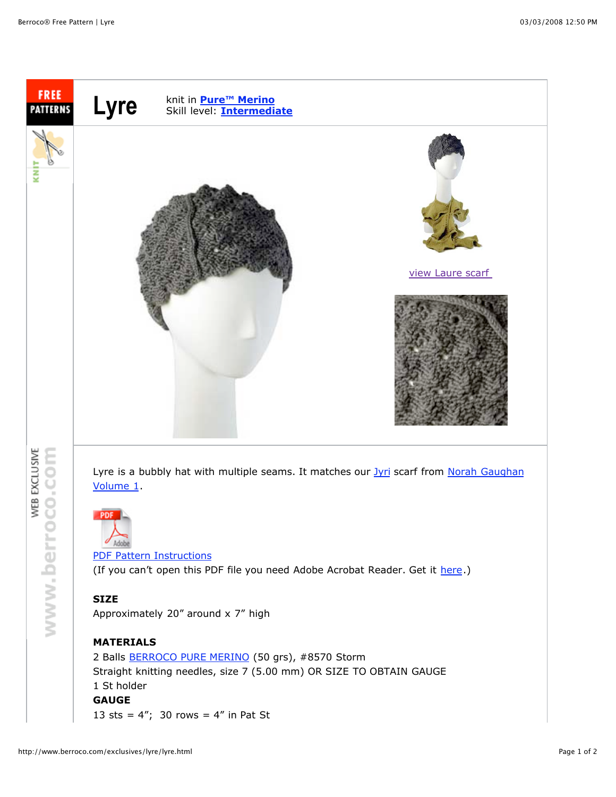